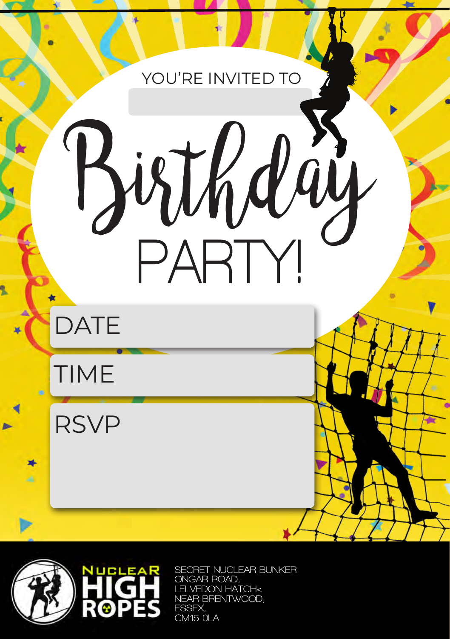## YOU'RE INVITED TO

Birthday

**PARTY!**

**DATE** 

TIME

RSVP

撼



**SECRET NUCLEAR BUNKER ONGAR ROAD, LELVEDON HATCH< NEAR BRENTWOOD, ESSEX, CM15 0LA**